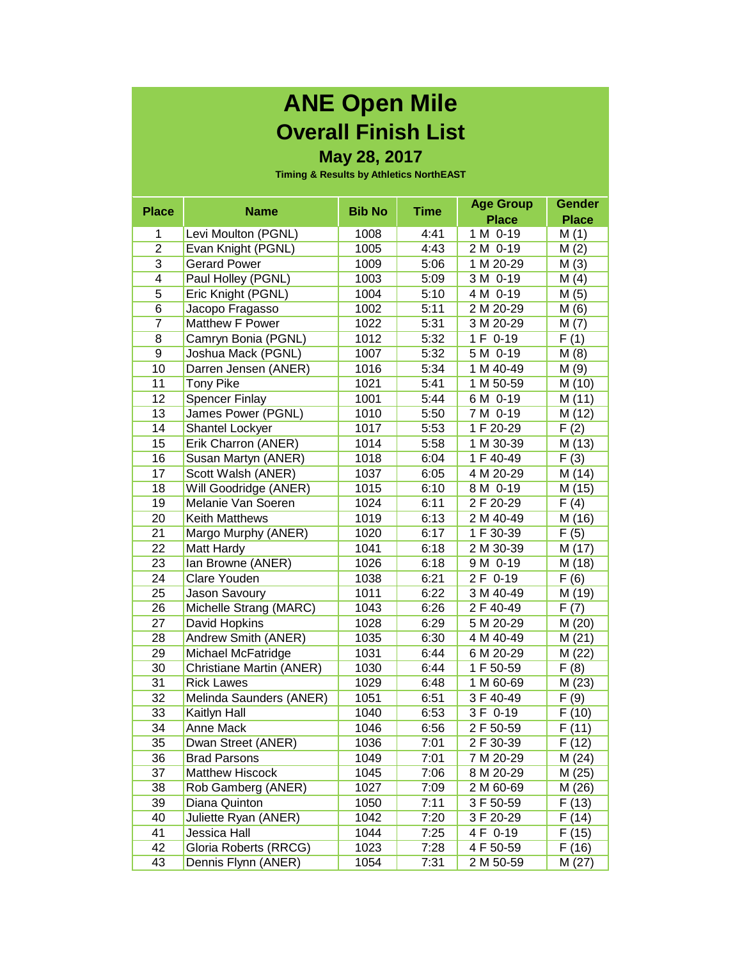# **ANE Open Mile Overall Finish List**

### **May 28, 2017**

| <b>Place</b>   |                          | <b>Bib No</b> | <b>Time</b> | <b>Age Group</b> | <b>Gender</b>      |
|----------------|--------------------------|---------------|-------------|------------------|--------------------|
|                | <b>Name</b>              |               |             | <b>Place</b>     | <b>Place</b>       |
| 1              | Levi Moulton (PGNL)      | 1008          | 4:41        | 1 M 0-19         | M(1)               |
| $\overline{2}$ | Evan Knight (PGNL)       | 1005          | 4:43        | 2 M 0-19         | M(2)               |
| 3              | <b>Gerard Power</b>      | 1009          | 5:06        | 1 M 20-29        | M(3)               |
| 4              | Paul Holley (PGNL)       | 1003          | 5:09        | $3 M 0-19$       | M(4)               |
| 5              | Eric Knight (PGNL)       | 1004          | 5:10        | 4 M 0-19         | M(5)               |
| 6              | Jacopo Fragasso          | 1002          | 5:11        | 2 M 20-29        | M (6)              |
| $\overline{7}$ | Matthew F Power          | 1022          | 5:31        | 3 M 20-29        | M(7)               |
| 8              | Camryn Bonia (PGNL)      | 1012          | 5:32        | 1 F 0-19         | F(1)               |
| 9              | Joshua Mack (PGNL)       | 1007          | 5:32        | 5 M 0-19         | M(8)               |
| 10             | Darren Jensen (ANER)     | 1016          | 5:34        | 1 M 40-49        | M(9)               |
| 11             | <b>Tony Pike</b>         | 1021          | 5:41        | 1 M 50-59        | M (10)             |
| 12             | <b>Spencer Finlay</b>    | 1001          | 5:44        | 6 M 0-19         | M (11)             |
| 13             | James Power (PGNL)       | 1010          | 5:50        | 7 M 0-19         | M (12)             |
| 14             | <b>Shantel Lockyer</b>   | 1017          | 5:53        | 1 F 20-29        | F(2)               |
| 15             | Erik Charron (ANER)      | 1014          | 5:58        | 1 M 30-39        | M (13)             |
| 16             | Susan Martyn (ANER)      | 1018          | 6:04        | 1 F 40-49        | F(3)               |
| 17             | Scott Walsh (ANER)       | 1037          | 6:05        | 4 M 20-29        | M (14)             |
| 18             | Will Goodridge (ANER)    | 1015          | 6:10        | 8 M 0-19         | M (15)             |
| 19             | Melanie Van Soeren       | 1024          | 6:11        | 2 F 20-29        | F(4)               |
| 20             | <b>Keith Matthews</b>    | 1019          | 6:13        | 2 M 40-49        | M (16)             |
| 21             | Margo Murphy (ANER)      | 1020          | 6:17        | 1 F 30-39        | F(5)               |
| 22             | Matt Hardy               | 1041          | 6:18        | 2 M 30-39        | M (17)             |
| 23             | Ian Browne (ANER)        | 1026          | 6:18        | 9 M 0-19         | M (18)             |
| 24             | Clare Youden             | 1038          | 6:21        | 2 F 0-19         | F(6)               |
| 25             | Jason Savoury            | 1011          | 6:22        | 3 M 40-49        | M (19)             |
| 26             | Michelle Strang (MARC)   | 1043          | 6:26        | 2 F 40-49        | F(7)               |
| 27             | David Hopkins            | 1028          | 6:29        | 5 M 20-29        | M (20)             |
| 28             | Andrew Smith (ANER)      | 1035          | 6:30        | 4 M 40-49        | M(21)              |
| 29             | Michael McFatridge       | 1031          | 6:44        | 6 M 20-29        | M (22)             |
| 30             | Christiane Martin (ANER) | 1030          | 6:44        | 1 F 50-59        | F(8)               |
| 31             | <b>Rick Lawes</b>        | 1029          | 6:48        | 1 M 60-69        | M (23)             |
| 32             | Melinda Saunders (ANER)  | 1051          | 6:51        | 3 F 40-49        | F(9)               |
| 33             | Kaitlyn Hall             | 1040          | 6:53        | 3 F 0-19         | F(10)              |
| 34             | Anne Mack                | 1046          | 6:56        | 2 F 50-59        | $\overline{F}(11)$ |
| 35             | Dwan Street (ANER)       | 1036          | 7:01        | 2 F 30-39        | F (12)             |
| 36             | <b>Brad Parsons</b>      | 1049          | 7:01        | 7 M 20-29        | M (24)             |
| 37             | <b>Matthew Hiscock</b>   | 1045          | 7:06        | 8 M 20-29        | M (25)             |
| 38             | Rob Gamberg (ANER)       | 1027          | 7:09        | 2 M 60-69        | M (26)             |
| 39             | Diana Quinton            | 1050          | 7:11        | 3 F 50-59        | F(13)              |
| 40             | Juliette Ryan (ANER)     | 1042          | 7:20        | 3 F 20-29        | F(14)              |
| 41             | Jessica Hall             | 1044          | 7:25        | 4 F 0-19         | F (15)             |
| 42             | Gloria Roberts (RRCG)    | 1023          | 7:28        | 4 F 50-59        | F (16)             |
| 43             | Dennis Flynn (ANER)      | 1054          | 7:31        | 2 M 50-59        | M (27)             |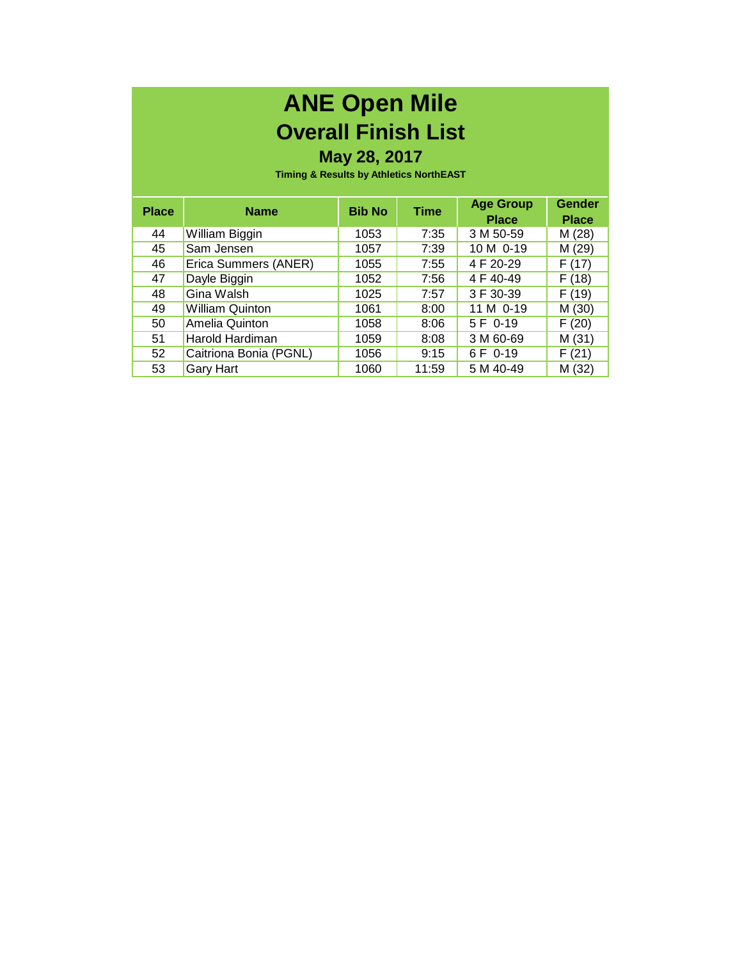## **ANE Open Mile Overall Finish List**

#### **May 28, 2017**

| <b>Place</b> | <b>Name</b>            | <b>Bib No</b> | <b>Time</b> | <b>Age Group</b><br><b>Place</b> | <b>Gender</b><br><b>Place</b> |
|--------------|------------------------|---------------|-------------|----------------------------------|-------------------------------|
| 44           | William Biggin         | 1053          | 7:35        | 3 M 50-59                        | M(28)                         |
| 45           | Sam Jensen             | 1057          | 7:39        | 10 M 0-19                        | M (29)                        |
| 46           | Erica Summers (ANER)   | 1055          | 7:55        | 4 F 20-29                        | F(17)                         |
| 47           | Dayle Biggin           | 1052          | 7:56        | 4 F 40-49                        | F(18)                         |
| 48           | Gina Walsh             | 1025          | 7:57        | 3 F 30-39                        | F(19)                         |
| 49           | <b>William Quinton</b> | 1061          | 8:00        | 11 M 0-19                        | M (30)                        |
| 50           | Amelia Quinton         | 1058          | 8:06        | 5 F 0-19                         | F(20)                         |
| 51           | Harold Hardiman        | 1059          | 8:08        | 3 M 60-69                        | M(31)                         |
| 52           | Caitriona Bonia (PGNL) | 1056          | 9:15        | 6 F 0-19                         | F(21)                         |
| 53           | <b>Gary Hart</b>       | 1060          | 11:59       | 5 M 40-49                        | M (32)                        |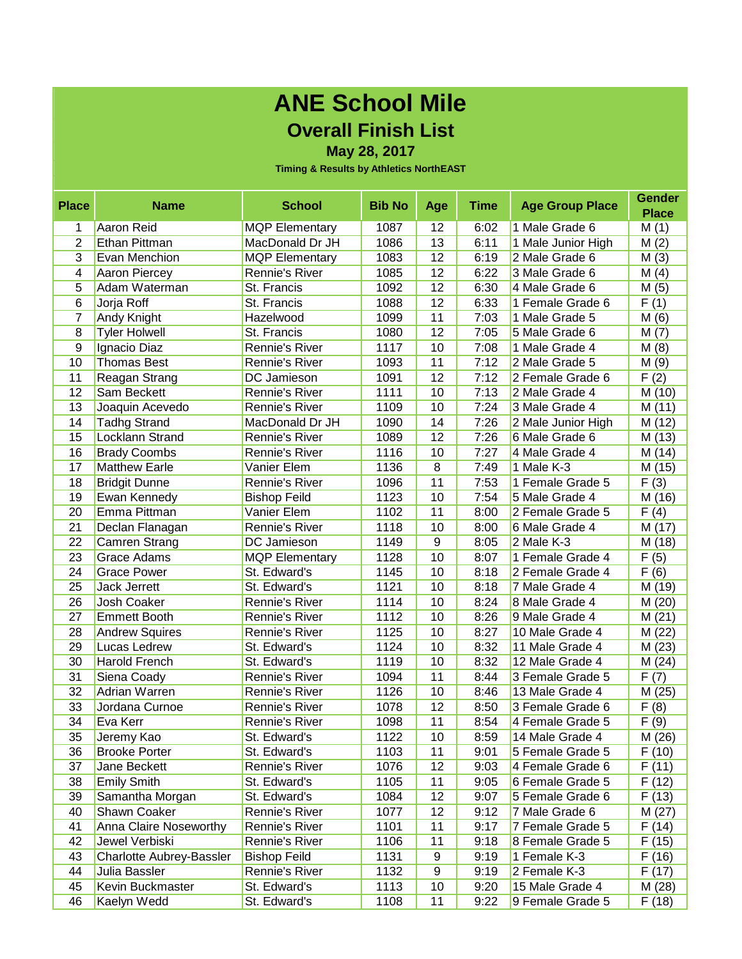## **ANE School Mile Overall Finish List**

**May 28, 2017**

| <b>Place</b>   | <b>Name</b>              | <b>School</b>         | <b>Bib No</b> | Age | <b>Time</b> | <b>Age Group Place</b> | <b>Gender</b> |
|----------------|--------------------------|-----------------------|---------------|-----|-------------|------------------------|---------------|
|                |                          |                       |               |     |             |                        | <b>Place</b>  |
| 1              | Aaron Reid               | <b>MQP Elementary</b> | 1087          | 12  | 6:02        | 1 Male Grade 6         | M(1)          |
| $\overline{2}$ | Ethan Pittman            | MacDonald Dr JH       | 1086          | 13  | 6:11        | 1 Male Junior High     | M(2)          |
| 3              | Evan Menchion            | <b>MQP Elementary</b> | 1083          | 12  | 6:19        | 2 Male Grade 6         | M(3)          |
| 4              | Aaron Piercey            | Rennie's River        | 1085          | 12  | 6:22        | 3 Male Grade 6         | M(4)          |
| 5              | Adam Waterman            | St. Francis           | 1092          | 12  | 6:30        | 4 Male Grade 6         | M(5)          |
| 6              | Jorja Roff               | St. Francis           | 1088          | 12  | 6:33        | 1 Female Grade 6       | F(1)          |
| $\overline{7}$ | Andy Knight              | Hazelwood             | 1099          | 11  | 7:03        | 1 Male Grade 5         | M(6)          |
| 8              | <b>Tyler Holwell</b>     | St. Francis           | 1080          | 12  | 7:05        | 5 Male Grade 6         | M(7)          |
| 9              | Ignacio Diaz             | Rennie's River        | 1117          | 10  | 7:08        | 1 Male Grade 4         | M(8)          |
| 10             | <b>Thomas Best</b>       | Rennie's River        | 1093          | 11  | 7:12        | 2 Male Grade 5         | M (9)         |
| 11             | Reagan Strang            | DC Jamieson           | 1091          | 12  | 7:12        | 2 Female Grade 6       | F(2)          |
| 12             | Sam Beckett              | Rennie's River        | 1111          | 10  | 7:13        | 2 Male Grade 4         | M (10)        |
| 13             | Joaquin Acevedo          | <b>Rennie's River</b> | 1109          | 10  | 7:24        | 3 Male Grade 4         | M (11)        |
| 14             | <b>Tadhg Strand</b>      | MacDonald Dr JH       | 1090          | 14  | 7:26        | 2 Male Junior High     | M (12)        |
| 15             | Locklann Strand          | <b>Rennie's River</b> | 1089          | 12  | 7:26        | 6 Male Grade 6         | M (13)        |
| 16             | <b>Brady Coombs</b>      | Rennie's River        | 1116          | 10  | 7:27        | 4 Male Grade 4         | M (14)        |
| 17             | <b>Matthew Earle</b>     | Vanier Elem           | 1136          | 8   | 7:49        | 1 Male K-3             | M (15)        |
| 18             | <b>Bridgit Dunne</b>     | Rennie's River        | 1096          | 11  | 7:53        | 1 Female Grade 5       | F(3)          |
| 19             | Ewan Kennedy             | <b>Bishop Feild</b>   | 1123          | 10  | 7:54        | 5 Male Grade 4         | M (16)        |
| 20             | Emma Pittman             | Vanier Elem           | 1102          | 11  | 8:00        | 2 Female Grade 5       | F(4)          |
| 21             | Declan Flanagan          | Rennie's River        | 1118          | 10  | 8:00        | 6 Male Grade 4         | M (17)        |
| 22             | Camren Strang            | DC Jamieson           | 1149          | 9   | 8:05        | 2 Male K-3             | M(18)         |
| 23             | Grace Adams              | <b>MQP Elementary</b> | 1128          | 10  | 8:07        | 1 Female Grade 4       | F(5)          |
| 24             | <b>Grace Power</b>       | St. Edward's          | 1145          | 10  | 8:18        | 2 Female Grade 4       | F(6)          |
| 25             | Jack Jerrett             | St. Edward's          | 1121          | 10  | 8:18        | 7 Male Grade 4         | M (19)        |
| 26             | Josh Coaker              | Rennie's River        | 1114          | 10  | 8:24        | 8 Male Grade 4         | M (20)        |
| 27             | <b>Emmett Booth</b>      | Rennie's River        | 1112          | 10  | 8:26        | 9 Male Grade 4         | M (21)        |
| 28             | <b>Andrew Squires</b>    | Rennie's River        | 1125          | 10  | 8:27        | 10 Male Grade 4        | M (22)        |
| 29             | Lucas Ledrew             | St. Edward's          | 1124          | 10  | 8:32        | 11 Male Grade 4        | M (23)        |
| 30             | Harold French            | St. Edward's          | 1119          | 10  | 8:32        | 12 Male Grade 4        | M (24)        |
| 31             | Siena Coady              | Rennie's River        | 1094          | 11  | 8:44        | 3 Female Grade 5       | F(7)          |
| 32             | Adrian Warren            | Rennie's River        | 1126          | 10  | 8:46        | 13 Male Grade 4        | M (25)        |
| 33             | Jordana Curnoe           | Rennie's River        | 1078          | 12  | 8:50        | 3 Female Grade 6       | F(8)          |
| 34             | Eva Kerr                 | Rennie's River        | 1098          | 11  | 8:54        | 4 Female Grade 5       | F(9)          |
| 35             | Jeremy Kao               | St. Edward's          | 1122          | 10  | 8:59        | 14 Male Grade 4        | M(26)         |
| 36             | <b>Brooke Porter</b>     | St. Edward's          | 1103          | 11  | 9:01        | 5 Female Grade 5       | F(10)         |
| 37             | Jane Beckett             | Rennie's River        | 1076          | 12  | 9:03        | 4 Female Grade 6       | F(11)         |
| 38             | <b>Emily Smith</b>       | St. Edward's          | 1105          | 11  | 9:05        | 6 Female Grade 5       | F(12)         |
| 39             | Samantha Morgan          | St. Edward's          | 1084          | 12  | 9:07        | 5 Female Grade 6       | F(13)         |
| 40             | Shawn Coaker             | Rennie's River        | 1077          | 12  | 9:12        | 7 Male Grade 6         |               |
| 41             | Anna Claire Noseworthy   | Rennie's River        | 1101          |     |             | 7 Female Grade 5       | M (27)        |
| 42             |                          |                       |               | 11  | 9:17        |                        | F(14)         |
|                | Jewel Verbiski           | Rennie's River        | 1106          | 11  | 9:18        | 8 Female Grade 5       | F (15)        |
| 43             | Charlotte Aubrey-Bassler | <b>Bishop Feild</b>   | 1131          | 9   | 9:19        | 1 Female K-3           | F(16)         |
| 44             | Julia Bassler            | Rennie's River        | 1132          | 9   | 9:19        | 2 Female K-3           | F(17)         |
| 45             | Kevin Buckmaster         | St. Edward's          | 1113          | 10  | 9:20        | 15 Male Grade 4        | M (28)        |
| 46             | Kaelyn Wedd              | St. Edward's          | 1108          | 11  | 9:22        | 9 Female Grade 5       | F(18)         |